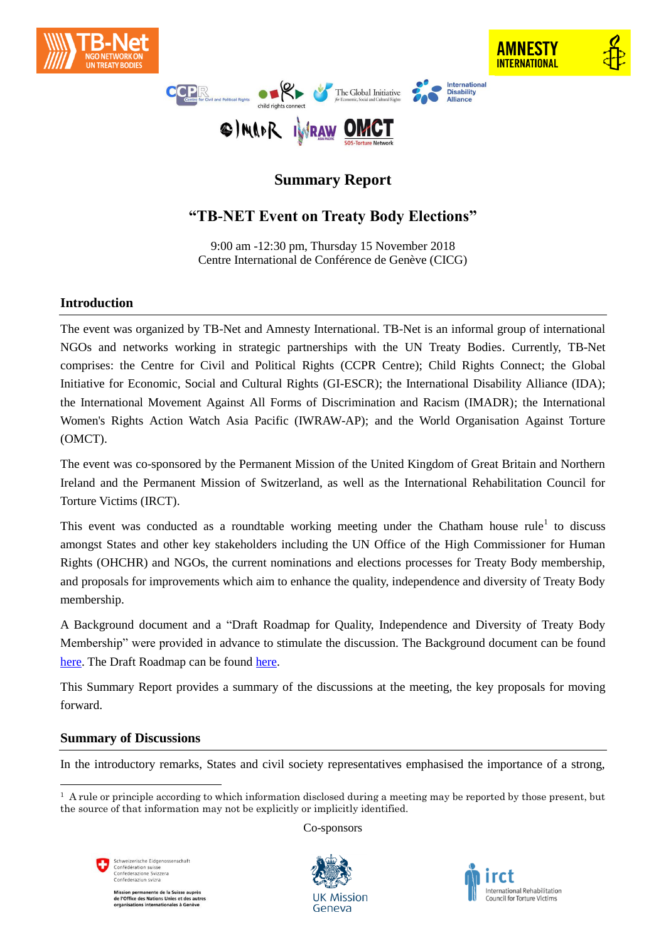



# **Summary Report**

## **"TB-NET Event on Treaty Body Elections"**

9:00 am -12:30 pm, Thursday 15 November 2018 Centre International de Conférence de Genève (CICG)

## **Introduction**

The event was organized by TB-Net and Amnesty International. TB-Net is an informal group of international NGOs and networks working in strategic partnerships with the UN Treaty Bodies. Currently, TB-Net comprises: the Centre for Civil and Political Rights (CCPR Centre); Child Rights Connect; the Global Initiative for Economic, Social and Cultural Rights (GI-ESCR); the International Disability Alliance (IDA); the International Movement Against All Forms of Discrimination and Racism (IMADR); the International Women's Rights Action Watch Asia Pacific (IWRAW-AP); and the World Organisation Against Torture (OMCT).

The event was co-sponsored by the Permanent Mission of the United Kingdom of Great Britain and Northern Ireland and the Permanent Mission of Switzerland, as well as the International Rehabilitation Council for Torture Victims (IRCT).

This event was conducted as a roundtable working meeting under the Chatham house  $\text{rule}^1$  to discuss amongst States and other key stakeholders including the UN Office of the High Commissioner for Human Rights (OHCHR) and NGOs, the current nominations and elections processes for Treaty Body membership, and proposals for improvements which aim to enhance the quality, independence and diversity of Treaty Body membership.

A Background document and a "Draft Roadmap for Quality, Independence and Diversity of Treaty Body Membership" were provided in advance to stimulate the discussion. The Background document can be found [here.](https://www.dropbox.com/s/5s8u5n342804331/BackgroundDocument_TBElections_FINAL_14.11.2018.docx?dl=0) The Draft Roadmap can be found [here.](https://www.dropbox.com/s/2akapckgcm2ljiy/TBsElections_Draft%20Roadmap%2014.11.2018.docx?dl=0)

This Summary Report provides a summary of the discussions at the meeting, the key proposals for moving forward.

## **Summary of Discussions**

-

In the introductory remarks, States and civil society representatives emphasised the importance of a strong,

Co-sponsors



Mission permanente de la Suisse auprès<br>de l'Office des Nations Unies et des autr<br>organisations internationales à Genève





 $<sup>1</sup>$  A rule or principle according to which information disclosed during a meeting may be reported by those present, but</sup> the source of that information may not be explicitly or implicitly identified.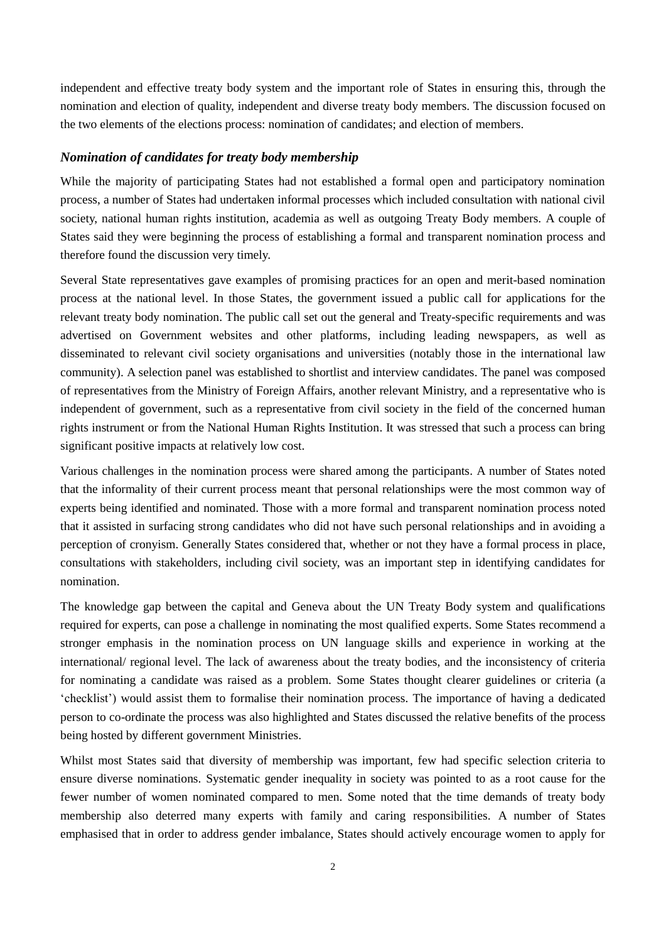independent and effective treaty body system and the important role of States in ensuring this, through the nomination and election of quality, independent and diverse treaty body members. The discussion focused on the two elements of the elections process: nomination of candidates; and election of members.

### *Nomination of candidates for treaty body membership*

While the majority of participating States had not established a formal open and participatory nomination process, a number of States had undertaken informal processes which included consultation with national civil society, national human rights institution, academia as well as outgoing Treaty Body members. A couple of States said they were beginning the process of establishing a formal and transparent nomination process and therefore found the discussion very timely.

Several State representatives gave examples of promising practices for an open and merit-based nomination process at the national level. In those States, the government issued a public call for applications for the relevant treaty body nomination. The public call set out the general and Treaty-specific requirements and was advertised on Government websites and other platforms, including leading newspapers, as well as disseminated to relevant civil society organisations and universities (notably those in the international law community). A selection panel was established to shortlist and interview candidates. The panel was composed of representatives from the Ministry of Foreign Affairs, another relevant Ministry, and a representative who is independent of government, such as a representative from civil society in the field of the concerned human rights instrument or from the National Human Rights Institution. It was stressed that such a process can bring significant positive impacts at relatively low cost.

Various challenges in the nomination process were shared among the participants. A number of States noted that the informality of their current process meant that personal relationships were the most common way of experts being identified and nominated. Those with a more formal and transparent nomination process noted that it assisted in surfacing strong candidates who did not have such personal relationships and in avoiding a perception of cronyism. Generally States considered that, whether or not they have a formal process in place, consultations with stakeholders, including civil society, was an important step in identifying candidates for nomination.

The knowledge gap between the capital and Geneva about the UN Treaty Body system and qualifications required for experts, can pose a challenge in nominating the most qualified experts. Some States recommend a stronger emphasis in the nomination process on UN language skills and experience in working at the international/ regional level. The lack of awareness about the treaty bodies, and the inconsistency of criteria for nominating a candidate was raised as a problem. Some States thought clearer guidelines or criteria (a 'checklist') would assist them to formalise their nomination process. The importance of having a dedicated person to co-ordinate the process was also highlighted and States discussed the relative benefits of the process being hosted by different government Ministries.

Whilst most States said that diversity of membership was important, few had specific selection criteria to ensure diverse nominations. Systematic gender inequality in society was pointed to as a root cause for the fewer number of women nominated compared to men. Some noted that the time demands of treaty body membership also deterred many experts with family and caring responsibilities. A number of States emphasised that in order to address gender imbalance, States should actively encourage women to apply for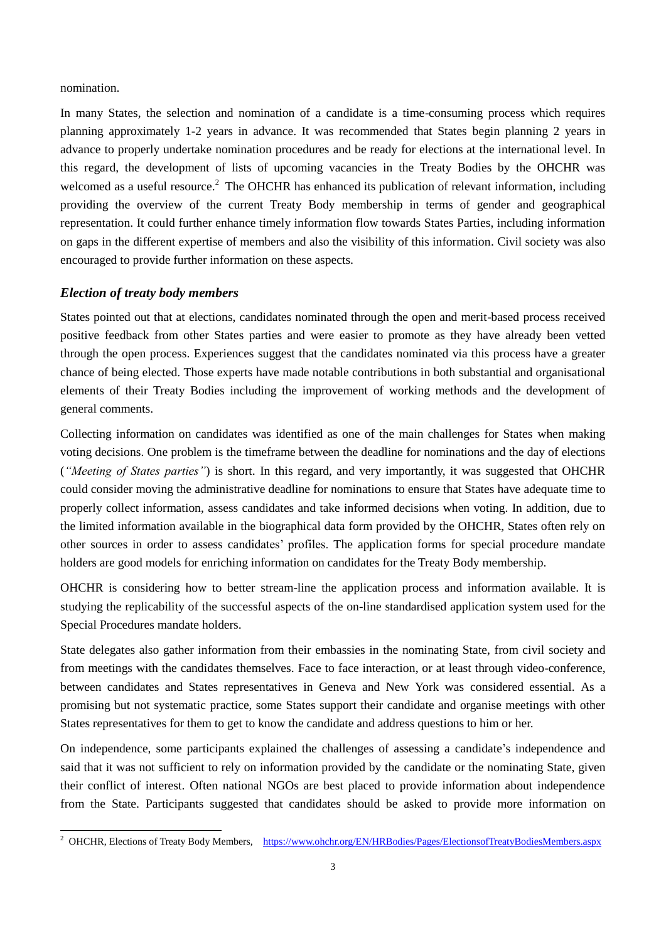nomination.

-

In many States, the selection and nomination of a candidate is a time-consuming process which requires planning approximately 1-2 years in advance. It was recommended that States begin planning 2 years in advance to properly undertake nomination procedures and be ready for elections at the international level. In this regard, the development of lists of upcoming vacancies in the Treaty Bodies by the OHCHR was welcomed as a useful resource.<sup>2</sup> The OHCHR has enhanced its publication of relevant information, including providing the overview of the current Treaty Body membership in terms of gender and geographical representation. It could further enhance timely information flow towards States Parties, including information on gaps in the different expertise of members and also the visibility of this information. Civil society was also encouraged to provide further information on these aspects.

### *Election of treaty body members*

States pointed out that at elections, candidates nominated through the open and merit-based process received positive feedback from other States parties and were easier to promote as they have already been vetted through the open process. Experiences suggest that the candidates nominated via this process have a greater chance of being elected. Those experts have made notable contributions in both substantial and organisational elements of their Treaty Bodies including the improvement of working methods and the development of general comments.

Collecting information on candidates was identified as one of the main challenges for States when making voting decisions. One problem is the timeframe between the deadline for nominations and the day of elections (*"Meeting of States parties"*) is short. In this regard, and very importantly, it was suggested that OHCHR could consider moving the administrative deadline for nominations to ensure that States have adequate time to properly collect information, assess candidates and take informed decisions when voting. In addition, due to the limited information available in the biographical data form provided by the OHCHR, States often rely on other sources in order to assess candidates' profiles. The application forms for special procedure mandate holders are good models for enriching information on candidates for the Treaty Body membership.

OHCHR is considering how to better stream-line the application process and information available. It is studying the replicability of the successful aspects of the on-line standardised application system used for the Special Procedures mandate holders.

State delegates also gather information from their embassies in the nominating State, from civil society and from meetings with the candidates themselves. Face to face interaction, or at least through video-conference, between candidates and States representatives in Geneva and New York was considered essential. As a promising but not systematic practice, some States support their candidate and organise meetings with other States representatives for them to get to know the candidate and address questions to him or her.

On independence, some participants explained the challenges of assessing a candidate's independence and said that it was not sufficient to rely on information provided by the candidate or the nominating State, given their conflict of interest. Often national NGOs are best placed to provide information about independence from the State. Participants suggested that candidates should be asked to provide more information on

<sup>&</sup>lt;sup>2</sup> OHCHR, Elections of Treaty Body Members, <https://www.ohchr.org/EN/HRBodies/Pages/ElectionsofTreatyBodiesMembers.aspx>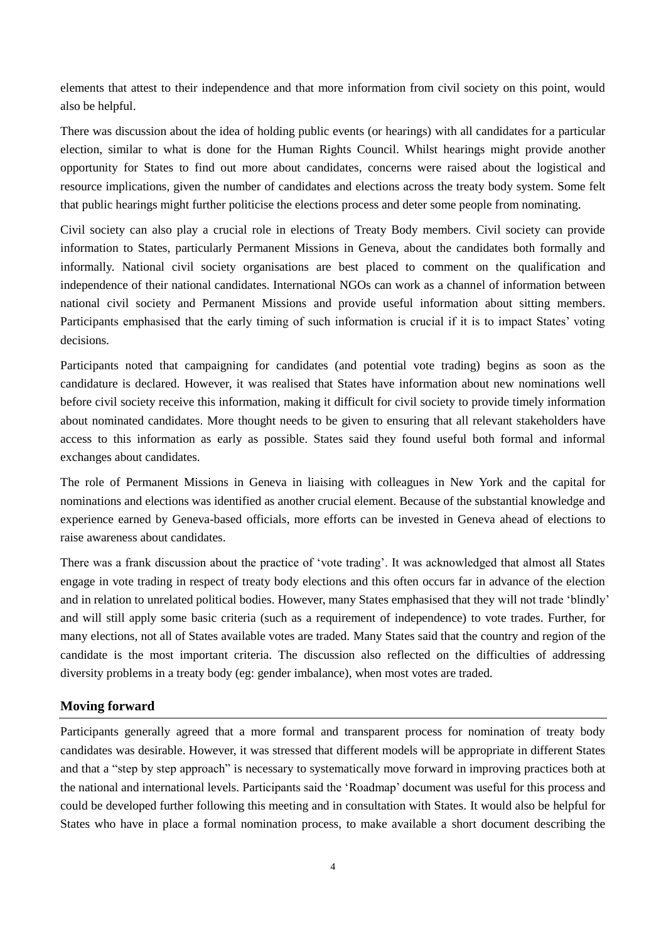elements that attest to their independence and that more information from civil society on this point, would also be helpful.

There was discussion about the idea of holding public events (or hearings) with all candidates for a particular election, similar to what is done for the Human Rights Council. Whilst hearings might provide another opportunity for States to find out more about candidates, concerns were raised about the logistical and resource implications, given the number of candidates and elections across the treaty body system. Some felt that public hearings might further politicise the elections process and deter some people from nominating.

Civil society can also play a crucial role in elections of Treaty Body members. Civil society can provide information to States, particularly Permanent Missions in Geneva, about the candidates both formally and informally. National civil society organisations are best placed to comment on the qualification and independence of their national candidates. International NGOs can work as a channel of information between national civil society and Permanent Missions and provide useful information about sitting members. Participants emphasised that the early timing of such information is crucial if it is to impact States' voting decisions.

Participants noted that campaigning for candidates (and potential vote trading) begins as soon as the candidature is declared. However, it was realised that States have information about new nominations well before civil society receive this information, making it difficult for civil society to provide timely information about nominated candidates. More thought needs to be given to ensuring that all relevant stakeholders have access to this information as early as possible. States said they found useful both formal and informal exchanges about candidates.

The role of Permanent Missions in Geneva in liaising with colleagues in New York and the capital for nominations and elections was identified as another crucial element. Because of the substantial knowledge and experience earned by Geneva-based officials, more efforts can be invested in Geneva ahead of elections to raise awareness about candidates.

There was a frank discussion about the practice of 'vote trading'. It was acknowledged that almost all States engage in vote trading in respect of treaty body elections and this often occurs far in advance of the election and in relation to unrelated political bodies. However, many States emphasised that they will not trade 'blindly' and will still apply some basic criteria (such as a requirement of independence) to vote trades. Further, for many elections, not all of States available votes are traded. Many States said that the country and region of the candidate is the most important criteria. The discussion also reflected on the difficulties of addressing diversity problems in a treaty body (eg: gender imbalance), when most votes are traded.

#### **Moving forward**

Participants generally agreed that a more formal and transparent process for nomination of treaty body candidates was desirable. However, it was stressed that different models will be appropriate in different States and that a "step by step approach" is necessary to systematically move forward in improving practices both at the national and international levels. Participants said the 'Roadmap' document was useful for this process and could be developed further following this meeting and in consultation with States. It would also be helpful for States who have in place a formal nomination process, to make available a short document describing the